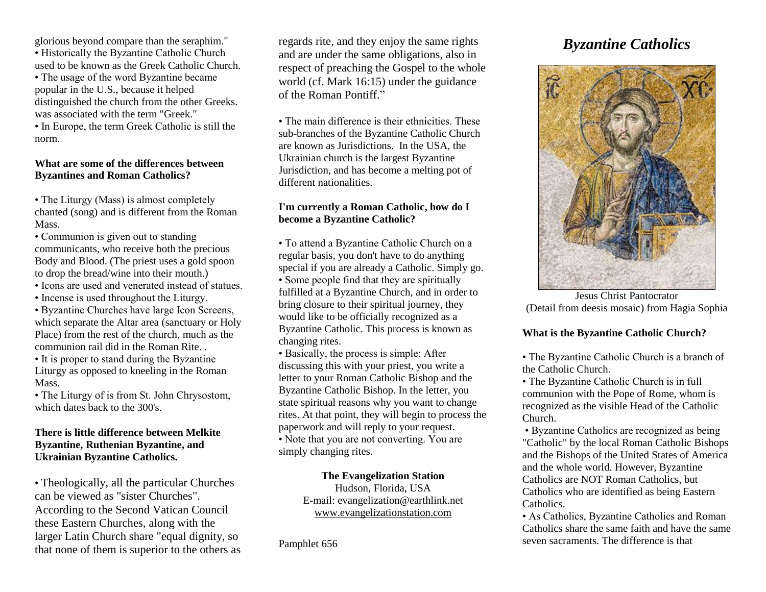glorious beyond compare than the seraphim."

• Historically the Byzantine Catholic Church used to be known as the Greek Catholic Church.

• The usage of the word Byzantine became popular in the U.S., because it helped distinguished the church from the other Greeks. was associated with the term "Greek."

• In Europe, the term Greek Catholic is still the norm.

## **What are some of the differences between Byzantines and Roman Catholics?**

• The Liturgy (Mass) is almost completely chanted (song) and is different from the Roman Mass.

• Communion is given out to standing communicants, who receive both the precious Body and Blood. (The priest uses a gold spoon to drop the bread/wine into their mouth.)

• Icons are used and venerated instead of statues.

• Incense is used throughout the Liturgy.

• Byzantine Churches have large Icon Screens, which separate the Altar area (sanctuary or Holy Place) from the rest of the church, much as the communion rail did in the Roman Rite. .

• It is proper to stand during the Byzantine Liturgy as opposed to kneeling in the Roman Mass.

• The Liturgy of is from St. John Chrysostom, which dates back to the 300's.

# **There is little difference between Melkite Byzantine, Ruthenian Byzantine, and Ukrainian Byzantine Catholics.**

• Theologically, all the particular Churches can be viewed as "sister Churches". According to the Second Vatican Council these Eastern Churches, along with the larger Latin Church share "equal dignity, so that none of them is superior to the others as regards rite, and they enjoy the same rights and are under the same obligations, also in respect of preaching the Gospel to the whole world (cf. Mark 16:15) under the guidance of the Roman Pontiff."

• The main difference is their ethnicities. These sub-branches of the Byzantine Catholic Church are known as Jurisdictions. In the USA, the Ukrainian church is the largest Byzantine Jurisdiction, and has become a melting pot of different nationalities.

# **I'm currently a Roman Catholic, how do I become a Byzantine Catholic?**

• To attend a Byzantine Catholic Church on a regular basis, you don't have to do anything special if you are already a Catholic. Simply go. • Some people find that they are spiritually fulfilled at a Byzantine Church, and in order to bring closure to their spiritual journey, they would like to be officially recognized as a Byzantine Catholic. This process is known as changing rites.

• Basically, the process is simple: After discussing this with your priest, you write a letter to your Roman Catholic Bishop and the Byzantine Catholic Bishop. In the letter, you state spiritual reasons why you want to change rites. At that point, they will begin to process the paperwork and will reply to your request. • Note that you are not converting. You are simply changing rites.

# **The Evangelization Station**

Hudson, Florida, USA E-mail: evangelization@earthlink.net [www.evangelizationstation.com](http://www.pjpiisoe.org/)

Pamphlet 656

# *Byzantine Catholics*



Jesus Christ Pantocrator (Detail from deesis mosaic) from Hagia Sophia

# **What is the Byzantine Catholic Church?**

• The Byzantine Catholic Church is a branch of the Catholic Church.

• The Byzantine Catholic Church is in full communion with the Pope of Rome, whom is recognized as the visible Head of the Catholic Church.

• Byzantine Catholics are recognized as being "Catholic" by the local Roman Catholic Bishops and the Bishops of the United States of America and the whole world. However, Byzantine Catholics are NOT Roman Catholics, but Catholics who are identified as being Eastern Catholics.

• As Catholics, Byzantine Catholics and Roman Catholics share the same faith and have the same seven sacraments. The difference is that